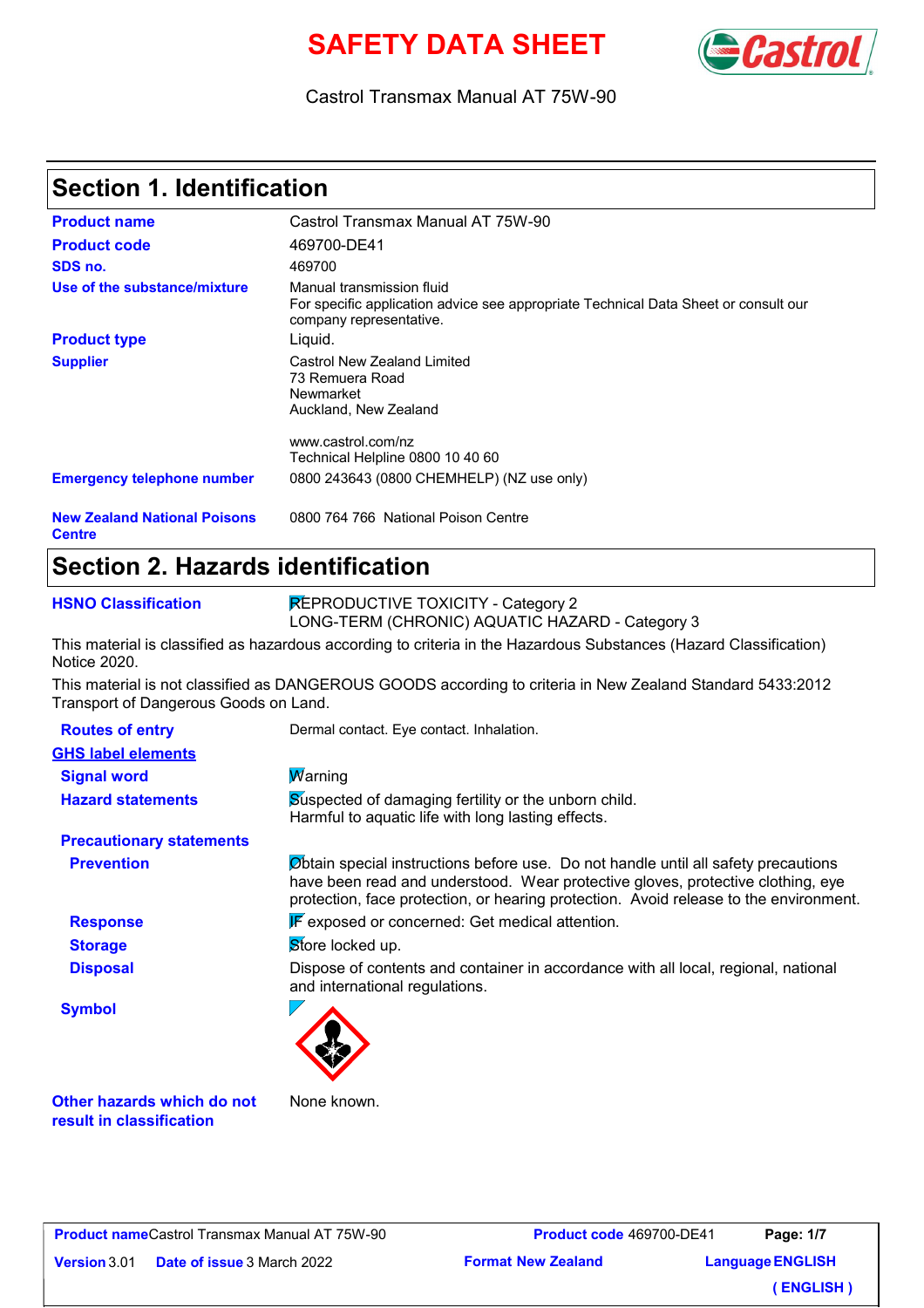# **SAFETY DATA SHEET**



#### Castrol Transmax Manual AT 75W-90

### **Section 1. Identification**

| <b>Product name</b>                                  | Castrol Transmax Manual AT 75W-90                                                                                                           |
|------------------------------------------------------|---------------------------------------------------------------------------------------------------------------------------------------------|
| <b>Product code</b>                                  | 469700-DE41                                                                                                                                 |
| SDS no.                                              | 469700                                                                                                                                      |
| Use of the substance/mixture                         | Manual transmission fluid<br>For specific application advice see appropriate Technical Data Sheet or consult our<br>company representative. |
| <b>Product type</b>                                  | Liquid.                                                                                                                                     |
| <b>Supplier</b>                                      | Castrol New Zealand Limited<br>73 Remuera Road<br>Newmarket<br>Auckland, New Zealand                                                        |
|                                                      | www.castrol.com/nz                                                                                                                          |
|                                                      | Technical Helpline 0800 10 40 60                                                                                                            |
| <b>Emergency telephone number</b>                    | 0800 243643 (0800 CHEMHELP) (NZ use only)                                                                                                   |
| <b>New Zealand National Poisons</b><br><b>Centre</b> | 0800 764 766 National Poison Centre                                                                                                         |

### **Section 2. Hazards identification**

**HSNO Classification**

REPRODUCTIVE TOXICITY - Category 2 LONG-TERM (CHRONIC) AQUATIC HAZARD - Category 3

This material is classified as hazardous according to criteria in the Hazardous Substances (Hazard Classification) Notice 2020.

This material is not classified as DANGEROUS GOODS according to criteria in New Zealand Standard 5433:2012 Transport of Dangerous Goods on Land.

| <b>Routes of entry</b>          | Dermal contact. Eye contact. Inhalation.                                                                                                                                                                                                                       |
|---------------------------------|----------------------------------------------------------------------------------------------------------------------------------------------------------------------------------------------------------------------------------------------------------------|
| <b>GHS label elements</b>       |                                                                                                                                                                                                                                                                |
| <b>Signal word</b>              | <b>W</b> arning                                                                                                                                                                                                                                                |
| <b>Hazard statements</b>        | Suspected of damaging fertility or the unborn child.<br>Harmful to aquatic life with long lasting effects.                                                                                                                                                     |
| <b>Precautionary statements</b> |                                                                                                                                                                                                                                                                |
| <b>Prevention</b>               | Obtain special instructions before use. Do not handle until all safety precautions<br>have been read and understood. Wear protective gloves, protective clothing, eye<br>protection, face protection, or hearing protection. Avoid release to the environment. |
| <b>Response</b>                 | <b>F</b> exposed or concerned: Get medical attention.                                                                                                                                                                                                          |
| <b>Storage</b>                  | Store locked up.                                                                                                                                                                                                                                               |
| <b>Disposal</b>                 | Dispose of contents and container in accordance with all local, regional, national<br>and international regulations.                                                                                                                                           |
| <b>Symbol</b>                   |                                                                                                                                                                                                                                                                |

**Other hazards which do not result in classification**

None known.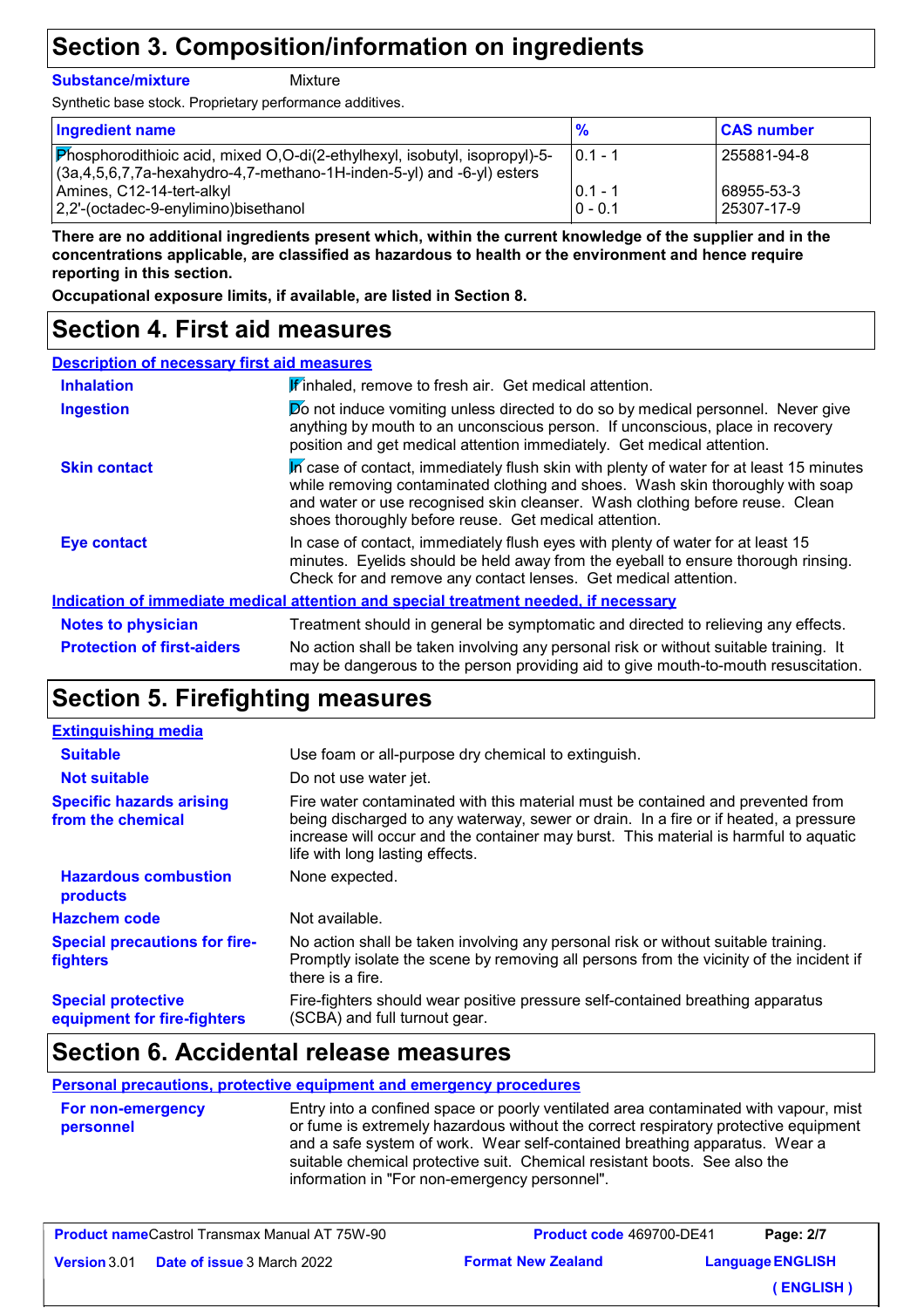### **Section 3. Composition/information on ingredients**

**Substance/mixture**

Mixture

Synthetic base stock. Proprietary performance additives.

| <b>Ingredient name</b>                                                        | $\frac{9}{6}$           | <b>CAS number</b>        |
|-------------------------------------------------------------------------------|-------------------------|--------------------------|
| Phosphorodithioic acid, mixed O,O-di(2-ethylhexyl, isobutyl, isopropyl)-5-    | $10.1 - 1$              | 255881-94-8              |
| $(3a, 4, 5, 6, 7, 7a$ -hexahydro-4,7-methano-1H-inden-5-yl) and -6-yl) esters |                         |                          |
| Amines, C12-14-tert-alkyl<br>2,2'-(octadec-9-enylimino)bisethanol             | $ 0.1 - 1$<br>$0 - 0.1$ | 68955-53-3<br>25307-17-9 |
|                                                                               |                         |                          |

**There are no additional ingredients present which, within the current knowledge of the supplier and in the concentrations applicable, are classified as hazardous to health or the environment and hence require reporting in this section.**

**Occupational exposure limits, if available, are listed in Section 8.**

### **Section 4. First aid measures**

| <b>Description of necessary first aid measures</b> |                                                                                                                                                                                                                                                                                                                    |
|----------------------------------------------------|--------------------------------------------------------------------------------------------------------------------------------------------------------------------------------------------------------------------------------------------------------------------------------------------------------------------|
| <b>Inhalation</b>                                  | Finhaled, remove to fresh air. Get medical attention.                                                                                                                                                                                                                                                              |
| <b>Ingestion</b>                                   | <b>Do</b> not induce vomiting unless directed to do so by medical personnel. Never give<br>anything by mouth to an unconscious person. If unconscious, place in recovery<br>position and get medical attention immediately. Get medical attention.                                                                 |
| <b>Skin contact</b>                                | In case of contact, immediately flush skin with plenty of water for at least 15 minutes<br>while removing contaminated clothing and shoes. Wash skin thoroughly with soap<br>and water or use recognised skin cleanser. Wash clothing before reuse. Clean<br>shoes thoroughly before reuse. Get medical attention. |
| <b>Eye contact</b>                                 | In case of contact, immediately flush eyes with plenty of water for at least 15<br>minutes. Eyelids should be held away from the eyeball to ensure thorough rinsing.<br>Check for and remove any contact lenses. Get medical attention.                                                                            |
|                                                    | Indication of immediate medical attention and special treatment needed, if necessary                                                                                                                                                                                                                               |
| <b>Notes to physician</b>                          | Treatment should in general be symptomatic and directed to relieving any effects.                                                                                                                                                                                                                                  |
| <b>Protection of first-aiders</b>                  | No action shall be taken involving any personal risk or without suitable training. It<br>may be dangerous to the person providing aid to give mouth-to-mouth resuscitation.                                                                                                                                        |

# **Section 5. Firefighting measures**

| <b>Extinguishing media</b>                               |                                                                                                                                                                                                                                                                                                    |
|----------------------------------------------------------|----------------------------------------------------------------------------------------------------------------------------------------------------------------------------------------------------------------------------------------------------------------------------------------------------|
| <b>Suitable</b>                                          | Use foam or all-purpose dry chemical to extinguish.                                                                                                                                                                                                                                                |
| <b>Not suitable</b>                                      | Do not use water jet.                                                                                                                                                                                                                                                                              |
| <b>Specific hazards arising</b><br>from the chemical     | Fire water contaminated with this material must be contained and prevented from<br>being discharged to any waterway, sewer or drain. In a fire or if heated, a pressure<br>increase will occur and the container may burst. This material is harmful to aquatic<br>life with long lasting effects. |
| <b>Hazardous combustion</b><br>products                  | None expected.                                                                                                                                                                                                                                                                                     |
| <b>Hazchem code</b>                                      | Not available.                                                                                                                                                                                                                                                                                     |
| <b>Special precautions for fire-</b><br><b>fighters</b>  | No action shall be taken involving any personal risk or without suitable training.<br>Promptly isolate the scene by removing all persons from the vicinity of the incident if<br>there is a fire.                                                                                                  |
| <b>Special protective</b><br>equipment for fire-fighters | Fire-fighters should wear positive pressure self-contained breathing apparatus<br>(SCBA) and full turnout gear.                                                                                                                                                                                    |

### **Section 6. Accidental release measures**

#### **Personal precautions, protective equipment and emergency procedures**

| <b>For non-emergency</b><br>personnel | Entry into a confined space or poorly ventilated area contaminated with vapour, mist<br>or fume is extremely hazardous without the correct respiratory protective equipment<br>and a safe system of work. Wear self-contained breathing apparatus. Wear a<br>suitable chemical protective suit. Chemical resistant boots. See also the |
|---------------------------------------|----------------------------------------------------------------------------------------------------------------------------------------------------------------------------------------------------------------------------------------------------------------------------------------------------------------------------------------|
|                                       | information in "For non-emergency personnel".                                                                                                                                                                                                                                                                                          |

| <b>Product nameCastrol Transmax Manual AT 75W-90</b> |                                   | <b>Product code 469700-DE41</b> |  | Page: 2/7               |
|------------------------------------------------------|-----------------------------------|---------------------------------|--|-------------------------|
| <b>Version</b> 3.01                                  | <b>Date of issue</b> 3 March 2022 | <b>Format New Zealand</b>       |  | <b>Language ENGLISH</b> |
|                                                      |                                   |                                 |  | (ENGLISH)               |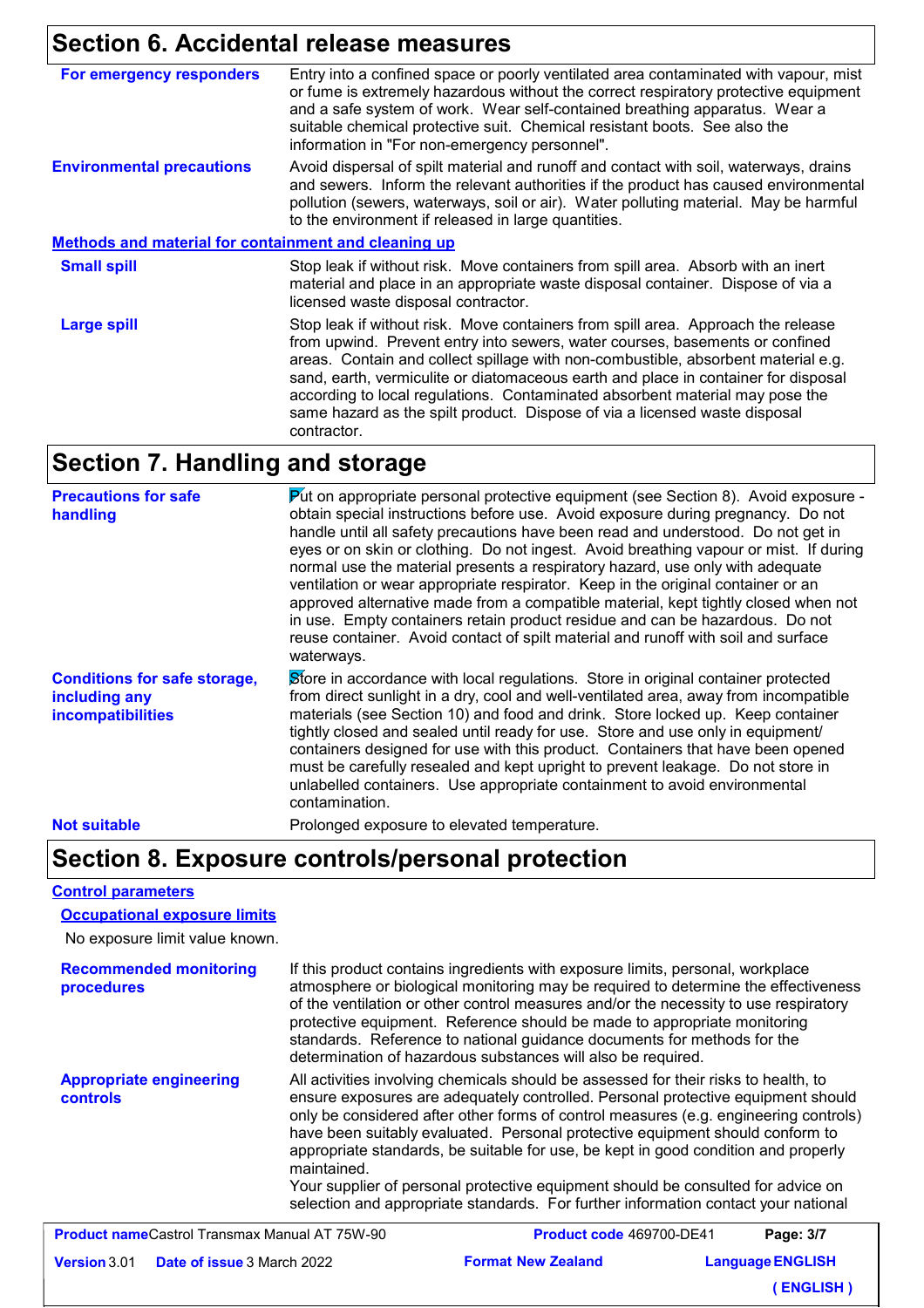# **Section 6. Accidental release measures**

| For emergency responders<br>or fume is extremely hazardous without the correct respiratory protective equipment<br>and a safe system of work. Wear self-contained breathing apparatus. Wear a<br>suitable chemical protective suit. Chemical resistant boots. See also the<br>information in "For non-emergency personnel".<br>Avoid dispersal of spilt material and runoff and contact with soil, waterways, drains<br><b>Environmental precautions</b><br>pollution (sewers, waterways, soil or air). Water polluting material. May be harmful<br>to the environment if released in large quantities.<br><b>Methods and material for containment and cleaning up</b><br><b>Small spill</b><br>Stop leak if without risk. Move containers from spill area. Absorb with an inert<br>material and place in an appropriate waste disposal container. Dispose of via a<br>licensed waste disposal contractor.<br>Stop leak if without risk. Move containers from spill area. Approach the release<br><b>Large spill</b><br>from upwind. Prevent entry into sewers, water courses, basements or confined<br>areas. Contain and collect spillage with non-combustible, absorbent material e.g.<br>sand, earth, vermiculite or diatomaceous earth and place in container for disposal<br>according to local regulations. Contaminated absorbent material may pose the<br>same hazard as the spilt product. Dispose of via a licensed waste disposal<br>contractor. |                                                                                      |
|--------------------------------------------------------------------------------------------------------------------------------------------------------------------------------------------------------------------------------------------------------------------------------------------------------------------------------------------------------------------------------------------------------------------------------------------------------------------------------------------------------------------------------------------------------------------------------------------------------------------------------------------------------------------------------------------------------------------------------------------------------------------------------------------------------------------------------------------------------------------------------------------------------------------------------------------------------------------------------------------------------------------------------------------------------------------------------------------------------------------------------------------------------------------------------------------------------------------------------------------------------------------------------------------------------------------------------------------------------------------------------------------------------------------------------------------------------------|--------------------------------------------------------------------------------------|
|                                                                                                                                                                                                                                                                                                                                                                                                                                                                                                                                                                                                                                                                                                                                                                                                                                                                                                                                                                                                                                                                                                                                                                                                                                                                                                                                                                                                                                                              | Entry into a confined space or poorly ventilated area contaminated with vapour, mist |
|                                                                                                                                                                                                                                                                                                                                                                                                                                                                                                                                                                                                                                                                                                                                                                                                                                                                                                                                                                                                                                                                                                                                                                                                                                                                                                                                                                                                                                                              | and sewers. Inform the relevant authorities if the product has caused environmental  |
|                                                                                                                                                                                                                                                                                                                                                                                                                                                                                                                                                                                                                                                                                                                                                                                                                                                                                                                                                                                                                                                                                                                                                                                                                                                                                                                                                                                                                                                              |                                                                                      |
|                                                                                                                                                                                                                                                                                                                                                                                                                                                                                                                                                                                                                                                                                                                                                                                                                                                                                                                                                                                                                                                                                                                                                                                                                                                                                                                                                                                                                                                              |                                                                                      |
|                                                                                                                                                                                                                                                                                                                                                                                                                                                                                                                                                                                                                                                                                                                                                                                                                                                                                                                                                                                                                                                                                                                                                                                                                                                                                                                                                                                                                                                              |                                                                                      |

### **Section 7. Handling and storage**

| Put on appropriate personal protective equipment (see Section 8). Avoid exposure -<br><b>Precautions for safe</b><br>obtain special instructions before use. Avoid exposure during pregnancy. Do not<br>handling<br>handle until all safety precautions have been read and understood. Do not get in<br>eyes or on skin or clothing. Do not ingest. Avoid breathing vapour or mist. If during<br>normal use the material presents a respiratory hazard, use only with adequate<br>ventilation or wear appropriate respirator. Keep in the original container or an<br>approved alternative made from a compatible material, kept tightly closed when not<br>in use. Empty containers retain product residue and can be hazardous. Do not<br>reuse container. Avoid contact of spilt material and runoff with soil and surface<br>waterways. |                                                                                                                                                                                                                                                                                                                                                                                                                                                                                                                                                                                                                     |
|---------------------------------------------------------------------------------------------------------------------------------------------------------------------------------------------------------------------------------------------------------------------------------------------------------------------------------------------------------------------------------------------------------------------------------------------------------------------------------------------------------------------------------------------------------------------------------------------------------------------------------------------------------------------------------------------------------------------------------------------------------------------------------------------------------------------------------------------|---------------------------------------------------------------------------------------------------------------------------------------------------------------------------------------------------------------------------------------------------------------------------------------------------------------------------------------------------------------------------------------------------------------------------------------------------------------------------------------------------------------------------------------------------------------------------------------------------------------------|
| <b>Conditions for safe storage,</b><br>including any<br>incompatibilities                                                                                                                                                                                                                                                                                                                                                                                                                                                                                                                                                                                                                                                                                                                                                                   | Store in accordance with local regulations. Store in original container protected<br>from direct sunlight in a dry, cool and well-ventilated area, away from incompatible<br>materials (see Section 10) and food and drink. Store locked up. Keep container<br>tightly closed and sealed until ready for use. Store and use only in equipment/<br>containers designed for use with this product. Containers that have been opened<br>must be carefully resealed and kept upright to prevent leakage. Do not store in<br>unlabelled containers. Use appropriate containment to avoid environmental<br>contamination. |
| <b>Not suitable</b>                                                                                                                                                                                                                                                                                                                                                                                                                                                                                                                                                                                                                                                                                                                                                                                                                         | Prolonged exposure to elevated temperature.                                                                                                                                                                                                                                                                                                                                                                                                                                                                                                                                                                         |

### **Section 8. Exposure controls/personal protection**

#### **Control parameters**

**Occupational exposure limits**

No exposure limit value known.

| <b>Recommended monitoring</b><br>procedures       | If this product contains ingredients with exposure limits, personal, workplace<br>atmosphere or biological monitoring may be required to determine the effectiveness<br>of the ventilation or other control measures and/or the necessity to use respiratory<br>protective equipment. Reference should be made to appropriate monitoring<br>standards. Reference to national guidance documents for methods for the<br>determination of hazardous substances will also be required.                                                                                                                                             |
|---------------------------------------------------|---------------------------------------------------------------------------------------------------------------------------------------------------------------------------------------------------------------------------------------------------------------------------------------------------------------------------------------------------------------------------------------------------------------------------------------------------------------------------------------------------------------------------------------------------------------------------------------------------------------------------------|
| <b>Appropriate engineering</b><br><b>controls</b> | All activities involving chemicals should be assessed for their risks to health, to<br>ensure exposures are adequately controlled. Personal protective equipment should<br>only be considered after other forms of control measures (e.g. engineering controls)<br>have been suitably evaluated. Personal protective equipment should conform to<br>appropriate standards, be suitable for use, be kept in good condition and properly<br>maintained.<br>Your supplier of personal protective equipment should be consulted for advice on<br>selection and appropriate standards. For further information contact your national |

| <b>Product nameCastrol Transmax Manual AT 75W-90</b> |                                   | <b>Product code 469700-DE41</b> | Page: 3/7               |
|------------------------------------------------------|-----------------------------------|---------------------------------|-------------------------|
| <b>Version</b> 3.01                                  | <b>Date of issue</b> 3 March 2022 | <b>Format New Zealand</b>       | <b>Language ENGLISH</b> |
|                                                      |                                   |                                 | (ENGLISH)               |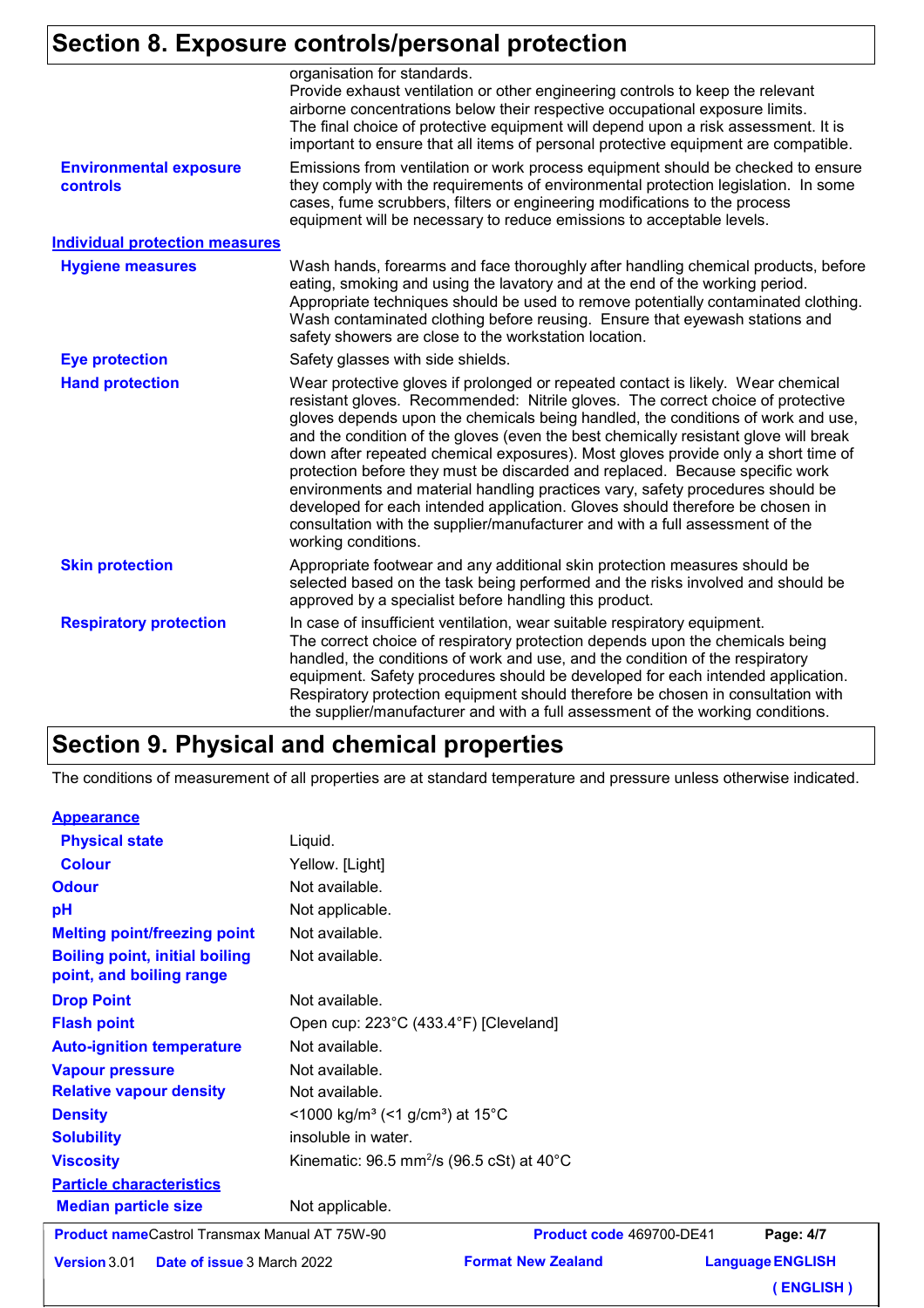# **Section 8. Exposure controls/personal protection**

|                                           | organisation for standards.<br>Provide exhaust ventilation or other engineering controls to keep the relevant<br>airborne concentrations below their respective occupational exposure limits.<br>The final choice of protective equipment will depend upon a risk assessment. It is<br>important to ensure that all items of personal protective equipment are compatible.                                                                                                                                                                                                                                                                                                                                                                                                                      |  |
|-------------------------------------------|-------------------------------------------------------------------------------------------------------------------------------------------------------------------------------------------------------------------------------------------------------------------------------------------------------------------------------------------------------------------------------------------------------------------------------------------------------------------------------------------------------------------------------------------------------------------------------------------------------------------------------------------------------------------------------------------------------------------------------------------------------------------------------------------------|--|
| <b>Environmental exposure</b><br>controls | Emissions from ventilation or work process equipment should be checked to ensure<br>they comply with the requirements of environmental protection legislation. In some<br>cases, fume scrubbers, filters or engineering modifications to the process<br>equipment will be necessary to reduce emissions to acceptable levels.                                                                                                                                                                                                                                                                                                                                                                                                                                                                   |  |
| <b>Individual protection measures</b>     |                                                                                                                                                                                                                                                                                                                                                                                                                                                                                                                                                                                                                                                                                                                                                                                                 |  |
| <b>Hygiene measures</b>                   | Wash hands, forearms and face thoroughly after handling chemical products, before<br>eating, smoking and using the lavatory and at the end of the working period.<br>Appropriate techniques should be used to remove potentially contaminated clothing.<br>Wash contaminated clothing before reusing. Ensure that eyewash stations and<br>safety showers are close to the workstation location.                                                                                                                                                                                                                                                                                                                                                                                                 |  |
| <b>Eye protection</b>                     | Safety glasses with side shields.                                                                                                                                                                                                                                                                                                                                                                                                                                                                                                                                                                                                                                                                                                                                                               |  |
| <b>Hand protection</b>                    | Wear protective gloves if prolonged or repeated contact is likely. Wear chemical<br>resistant gloves. Recommended: Nitrile gloves. The correct choice of protective<br>gloves depends upon the chemicals being handled, the conditions of work and use,<br>and the condition of the gloves (even the best chemically resistant glove will break<br>down after repeated chemical exposures). Most gloves provide only a short time of<br>protection before they must be discarded and replaced. Because specific work<br>environments and material handling practices vary, safety procedures should be<br>developed for each intended application. Gloves should therefore be chosen in<br>consultation with the supplier/manufacturer and with a full assessment of the<br>working conditions. |  |
| <b>Skin protection</b>                    | Appropriate footwear and any additional skin protection measures should be<br>selected based on the task being performed and the risks involved and should be<br>approved by a specialist before handling this product.                                                                                                                                                                                                                                                                                                                                                                                                                                                                                                                                                                         |  |
| <b>Respiratory protection</b>             | In case of insufficient ventilation, wear suitable respiratory equipment.<br>The correct choice of respiratory protection depends upon the chemicals being<br>handled, the conditions of work and use, and the condition of the respiratory<br>equipment. Safety procedures should be developed for each intended application.<br>Respiratory protection equipment should therefore be chosen in consultation with<br>the supplier/manufacturer and with a full assessment of the working conditions.                                                                                                                                                                                                                                                                                           |  |

# **Section 9. Physical and chemical properties**

The conditions of measurement of all properties are at standard temperature and pressure unless otherwise indicated.

#### **Appearance**

| <b>Product nameCastrol Transmax Manual AT 75W-90</b>              |                                                                      | <b>Product code 469700-DE41</b> | Page: |
|-------------------------------------------------------------------|----------------------------------------------------------------------|---------------------------------|-------|
| <b>Median particle size</b>                                       | Not applicable.                                                      |                                 |       |
| <b>Particle characteristics</b>                                   |                                                                      |                                 |       |
| <b>Viscosity</b>                                                  | Kinematic: $96.5$ mm <sup>2</sup> /s ( $96.5$ cSt) at $40^{\circ}$ C |                                 |       |
| <b>Solubility</b>                                                 | insoluble in water.                                                  |                                 |       |
| <b>Density</b>                                                    | <1000 kg/m <sup>3</sup> (<1 g/cm <sup>3</sup> ) at 15 <sup>°</sup> C |                                 |       |
| <b>Relative vapour density</b>                                    | Not available.                                                       |                                 |       |
| <b>Vapour pressure</b>                                            | Not available.                                                       |                                 |       |
| <b>Auto-ignition temperature</b>                                  | Not available.                                                       |                                 |       |
| <b>Flash point</b>                                                | Open cup: 223°C (433.4°F) [Cleveland]                                |                                 |       |
| <b>Drop Point</b>                                                 | Not available.                                                       |                                 |       |
| <b>Boiling point, initial boiling</b><br>point, and boiling range | Not available.                                                       |                                 |       |
| <b>Melting point/freezing point</b>                               | Not available.                                                       |                                 |       |
| pH                                                                | Not applicable.                                                      |                                 |       |
| <b>Odour</b>                                                      | Not available.                                                       |                                 |       |
| <b>Colour</b>                                                     | Yellow. [Light]                                                      |                                 |       |
| <b>Physical state</b>                                             | Liquid.                                                              |                                 |       |

**Version** 3.01 Date of issue 3 March

**Format New Zealand** 

**Language ENGLISH Page: 4/7 ( ENGLISH )**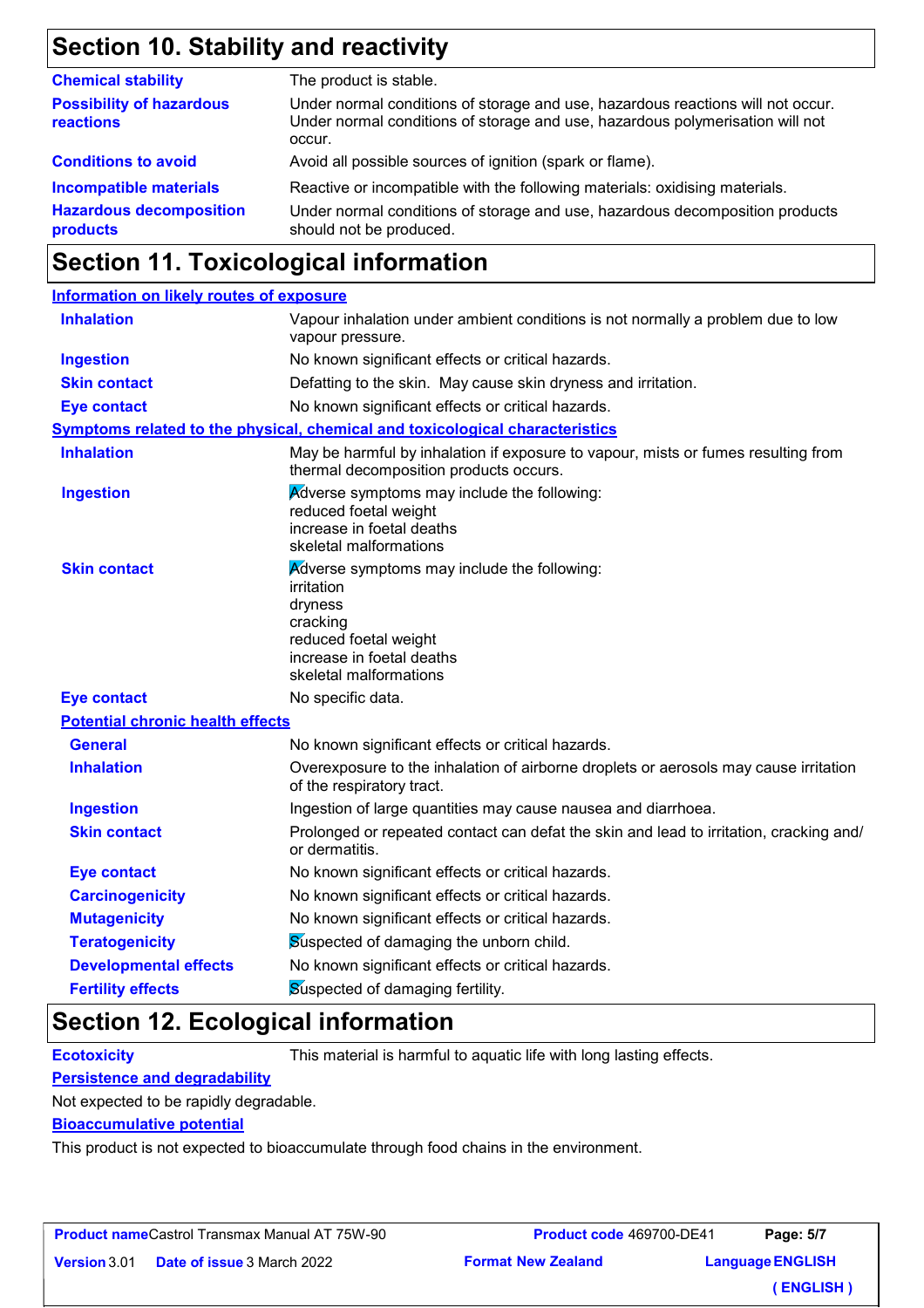# **Section 10. Stability and reactivity**

| <b>Chemical stability</b>                                                   | The product is stable.                                                                                                                                                                 |
|-----------------------------------------------------------------------------|----------------------------------------------------------------------------------------------------------------------------------------------------------------------------------------|
| <b>Possibility of hazardous</b><br>reactions                                | Under normal conditions of storage and use, hazardous reactions will not occur.<br>Under normal conditions of storage and use, hazardous polymerisation will not<br>occur.             |
| <b>Conditions to avoid</b>                                                  | Avoid all possible sources of ignition (spark or flame).                                                                                                                               |
| <b>Incompatible materials</b><br><b>Hazardous decomposition</b><br>products | Reactive or incompatible with the following materials: oxidising materials.<br>Under normal conditions of storage and use, hazardous decomposition products<br>should not be produced. |

# **Section 11. Toxicological information**

| <b>Information on likely routes of exposure</b> |                                                                                                                                                                  |  |
|-------------------------------------------------|------------------------------------------------------------------------------------------------------------------------------------------------------------------|--|
| <b>Inhalation</b>                               | Vapour inhalation under ambient conditions is not normally a problem due to low<br>vapour pressure.                                                              |  |
| <b>Ingestion</b>                                | No known significant effects or critical hazards.                                                                                                                |  |
| <b>Skin contact</b>                             | Defatting to the skin. May cause skin dryness and irritation.                                                                                                    |  |
| <b>Eye contact</b>                              | No known significant effects or critical hazards.                                                                                                                |  |
|                                                 | <b>Symptoms related to the physical, chemical and toxicological characteristics</b>                                                                              |  |
| <b>Inhalation</b>                               | May be harmful by inhalation if exposure to vapour, mists or fumes resulting from<br>thermal decomposition products occurs.                                      |  |
| <b>Ingestion</b>                                | <b>Adverse symptoms may include the following:</b><br>reduced foetal weight<br>increase in foetal deaths<br>skeletal malformations                               |  |
| <b>Skin contact</b>                             | Adverse symptoms may include the following:<br>irritation<br>dryness<br>cracking<br>reduced foetal weight<br>increase in foetal deaths<br>skeletal malformations |  |
| <b>Eye contact</b>                              | No specific data.                                                                                                                                                |  |
| <b>Potential chronic health effects</b>         |                                                                                                                                                                  |  |
| <b>General</b>                                  | No known significant effects or critical hazards.                                                                                                                |  |
| <b>Inhalation</b>                               | Overexposure to the inhalation of airborne droplets or aerosols may cause irritation<br>of the respiratory tract.                                                |  |
| <b>Ingestion</b>                                | Ingestion of large quantities may cause nausea and diarrhoea.                                                                                                    |  |
| <b>Skin contact</b>                             | Prolonged or repeated contact can defat the skin and lead to irritation, cracking and/<br>or dermatitis.                                                         |  |
| <b>Eye contact</b>                              | No known significant effects or critical hazards.                                                                                                                |  |
| <b>Carcinogenicity</b>                          | No known significant effects or critical hazards.                                                                                                                |  |
| <b>Mutagenicity</b>                             | No known significant effects or critical hazards.                                                                                                                |  |
| <b>Teratogenicity</b>                           | Suspected of damaging the unborn child.                                                                                                                          |  |
| <b>Developmental effects</b>                    | No known significant effects or critical hazards.                                                                                                                |  |
| <b>Fertility effects</b>                        | Suspected of damaging fertility.                                                                                                                                 |  |

## **Section 12. Ecological information**

**Ecotoxicity** This material is harmful to aquatic life with long lasting effects.

#### **Persistence and degradability**

Not expected to be rapidly degradable.

#### **Bioaccumulative potential**

This product is not expected to bioaccumulate through food chains in the environment.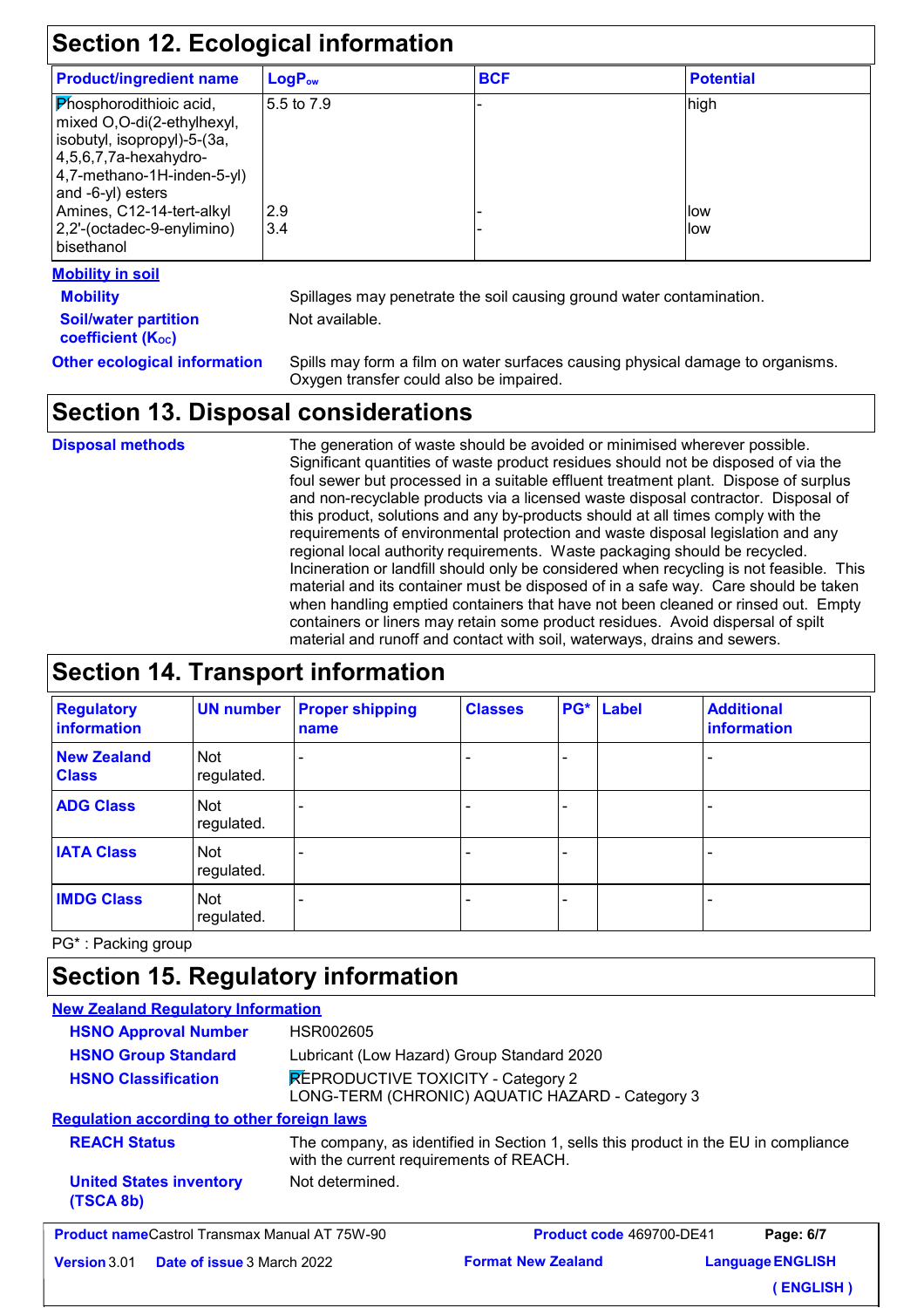| <b>Section 12. Ecological information</b>                                                                                                                                   |                    |            |                  |
|-----------------------------------------------------------------------------------------------------------------------------------------------------------------------------|--------------------|------------|------------------|
| <b>Product/ingredient name</b>                                                                                                                                              | LogP <sub>ow</sub> | <b>BCF</b> | <b>Potential</b> |
| <b>Phosphorodithioic acid,</b><br>mixed O,O-di(2-ethylhexyl,<br>isobutyl, isopropyl)-5-(3a,<br>$ 4,5,6,7,7a$ -hexahydro-<br>4,7-methano-1H-inden-5-yl)<br>and -6-yl) esters | 5.5 to 7.9         |            | high             |
| Amines, C12-14-tert-alkyl                                                                                                                                                   | 2.9                |            | llow             |
| 2,2'-(octadec-9-enylimino)<br><b>bisethanol</b>                                                                                                                             | 3.4                |            | llow             |

#### **Mobility in soil**

**Soil/water partition coefficient (K**<sup>oc</sup>)

**Mobility** Spillages may penetrate the soil causing ground water contamination. Not available.

**Other ecological information** Spills may form a film on water surfaces causing physical damage to organisms. Oxygen transfer could also be impaired.

## **Section 13. Disposal considerations**

**Disposal methods**

The generation of waste should be avoided or minimised wherever possible. Significant quantities of waste product residues should not be disposed of via the foul sewer but processed in a suitable effluent treatment plant. Dispose of surplus and non-recyclable products via a licensed waste disposal contractor. Disposal of this product, solutions and any by-products should at all times comply with the requirements of environmental protection and waste disposal legislation and any regional local authority requirements. Waste packaging should be recycled. Incineration or landfill should only be considered when recycling is not feasible. This material and its container must be disposed of in a safe way. Care should be taken when handling emptied containers that have not been cleaned or rinsed out. Empty containers or liners may retain some product residues. Avoid dispersal of spilt material and runoff and contact with soil, waterways, drains and sewers.

### **Section 14. Transport information**

| <b>Regulatory</b><br>information   | <b>UN number</b>  | <b>Proper shipping</b><br>name | <b>Classes</b> | PG* Label | <b>Additional</b><br><b>information</b> |
|------------------------------------|-------------------|--------------------------------|----------------|-----------|-----------------------------------------|
| <b>New Zealand</b><br><b>Class</b> | Not<br>regulated. |                                |                |           | $\overline{a}$                          |
| <b>ADG Class</b>                   | Not<br>regulated. |                                |                |           |                                         |
| <b>IATA Class</b>                  | Not<br>regulated. |                                |                |           |                                         |
| <b>IMDG Class</b>                  | Not<br>regulated. |                                |                |           | -                                       |

PG\* : Packing group

# **Section 15. Regulatory information**

| <b>New Zealand Regulatory Information</b>                                                                                                             |                                                                                       |                                 |  |                         |
|-------------------------------------------------------------------------------------------------------------------------------------------------------|---------------------------------------------------------------------------------------|---------------------------------|--|-------------------------|
| <b>HSNO Approval Number</b>                                                                                                                           | HSR002605                                                                             |                                 |  |                         |
| <b>HSNO Group Standard</b>                                                                                                                            | Lubricant (Low Hazard) Group Standard 2020                                            |                                 |  |                         |
| <b>HSNO Classification</b>                                                                                                                            | REPRODUCTIVE TOXICITY - Category 2<br>LONG-TERM (CHRONIC) AQUATIC HAZARD - Category 3 |                                 |  |                         |
| <b>Requlation according to other foreign laws</b>                                                                                                     |                                                                                       |                                 |  |                         |
| <b>REACH Status</b><br>The company, as identified in Section 1, sells this product in the EU in compliance<br>with the current requirements of REACH. |                                                                                       |                                 |  |                         |
| <b>United States inventory</b><br>(TSCA 8b)                                                                                                           | Not determined.                                                                       |                                 |  |                         |
| <b>Product nameCastrol Transmax Manual AT 75W-90</b>                                                                                                  |                                                                                       | <b>Product code 469700-DE41</b> |  | Page: 6/7               |
| <b>Version</b> 3.01<br><b>Date of issue 3 March 2022</b>                                                                                              |                                                                                       | <b>Format New Zealand</b>       |  | <b>Language ENGLISH</b> |
|                                                                                                                                                       |                                                                                       |                                 |  | <b>ENGLISH</b> )        |